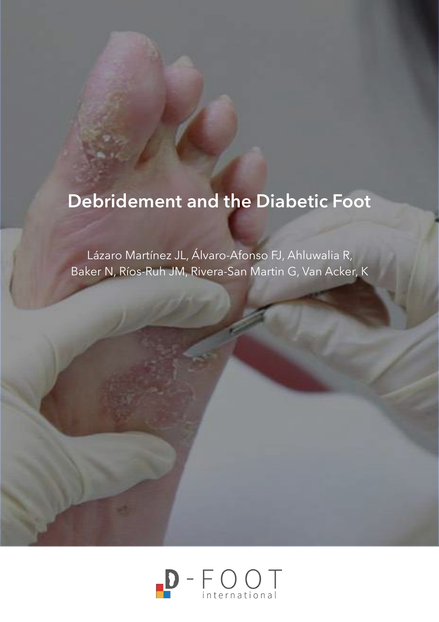# **Debridement and the Diabetic Foot**

Lázaro Martínez JL, Álvaro-Afonso FJ, Ahluwalia R, Baker N, Ríos-Ruh JM, Rivera-San Martin G, Van Acker, K

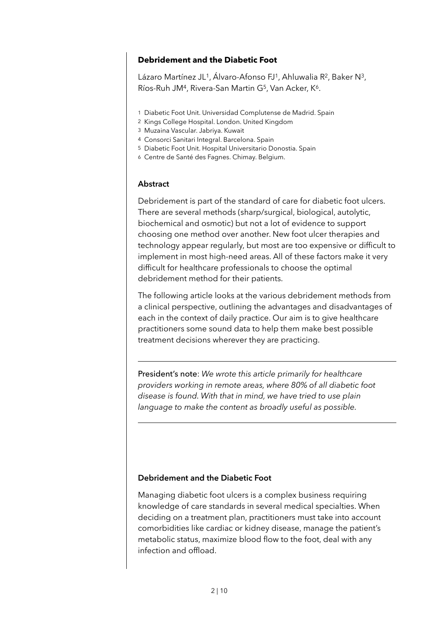# **Debridement and the Diabetic Foot**

Lázaro Martínez JL<sup>1</sup>, Álvaro-Afonso FJ<sup>1</sup>, Ahluwalia R<sup>2</sup>, Baker N<sup>3</sup>, Ríos-Ruh JM4, Rivera-San Martin G5, Van Acker, K6.

- 1 Diabetic Foot Unit. Universidad Complutense de Madrid. Spain
- 2 Kings College Hospital. London. United Kingdom
- 3 Muzaina Vascular. Jabriya. Kuwait
- 4 Consorci Sanitari Integral. Barcelona. Spain
- 5 Diabetic Foot Unit. Hospital Universitario Donostia. Spain
- 6 Centre de Santé des Fagnes. Chimay. Belgium.

### **Abstract**

 $\overline{a}$ 

 $\overline{a}$ 

Debridement is part of the standard of care for diabetic foot ulcers. There are several methods (sharp/surgical, biological, autolytic, biochemical and osmotic) but not a lot of evidence to support choosing one method over another. New foot ulcer therapies and technology appear regularly, but most are too expensive or difficult to implement in most high-need areas. All of these factors make it very difficult for healthcare professionals to choose the optimal debridement method for their patients.

The following article looks at the various debridement methods from a clinical perspective, outlining the advantages and disadvantages of each in the context of daily practice. Our aim is to give healthcare practitioners some sound data to help them make best possible treatment decisions wherever they are practicing.

President's note: *We wrote this article primarily for healthcare providers working in remote areas, where 80% of all diabetic foot disease is found. With that in mind, we have tried to use plain language to make the content as broadly useful as possible.* 

### **Debridement and the Diabetic Foot**

Managing diabetic foot ulcers is a complex business requiring knowledge of care standards in several medical specialties. When deciding on a treatment plan, practitioners must take into account comorbidities like cardiac or kidney disease, manage the patient's metabolic status, maximize blood flow to the foot, deal with any infection and offload.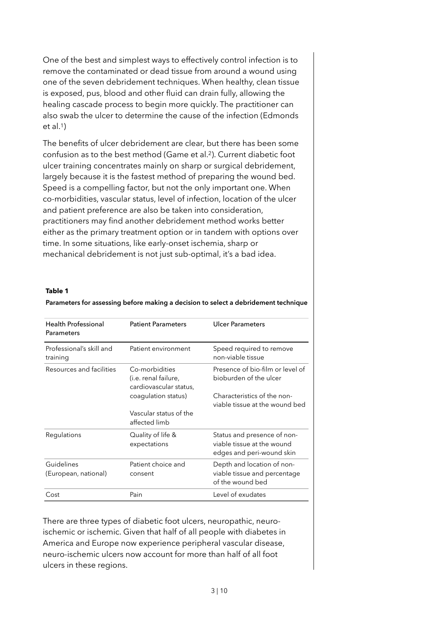One of the best and simplest ways to effectively control infection is to remove the contaminated or dead tissue from around a wound using one of the seven debridement techniques. When healthy, clean tissue is exposed, pus, blood and other fluid can drain fully, allowing the healing cascade process to begin more quickly. The practitioner can also swab the ulcer to determine the cause of the infection (Edmonds  $et al.1$ 

The benefits of ulcer debridement are clear, but there has been some confusion as to the best method (Game et al.2). Current diabetic foot ulcer training concentrates mainly on sharp or surgical debridement, largely because it is the fastest method of preparing the wound bed. Speed is a compelling factor, but not the only important one. When co-morbidities, vascular status, level of infection, location of the ulcer and patient preference are also be taken into consideration, practitioners may find another debridement method works better either as the primary treatment option or in tandem with options over time. In some situations, like early-onset ischemia, sharp or mechanical debridement is not just sub-optimal, it's a bad idea.

#### **Table 1**

| <b>Health Professional</b><br>Parameters | <b>Patient Parameters</b>                                        | <b>Ulcer Parameters</b>                                                                |
|------------------------------------------|------------------------------------------------------------------|----------------------------------------------------------------------------------------|
| Professional's skill and<br>training     | Patient environment                                              | Speed required to remove<br>non-viable tissue                                          |
| Resources and facilities                 | Co-morbidities<br>(i.e. renal failure,<br>cardiovascular status, | Presence of bio-film or level of<br>bioburden of the ulcer                             |
|                                          | coagulation status)                                              | Characteristics of the non-<br>viable tissue at the wound bed                          |
|                                          | Vascular status of the<br>affected limb                          |                                                                                        |
| Regulations                              | Quality of life &<br>expectations                                | Status and presence of non-<br>viable tissue at the wound<br>edges and peri-wound skin |
| Guidelines<br>(European, national)       | Patient choice and<br>consent                                    | Depth and location of non-<br>viable tissue and percentage<br>of the wound bed         |
| Cost                                     | Pain                                                             | Level of exudates                                                                      |

#### **Parameters for assessing before making a decision to select a debridement technique**

There are three types of diabetic foot ulcers, neuropathic, neuroischemic or ischemic. Given that half of all people with diabetes in America and Europe now experience peripheral vascular disease, neuro-ischemic ulcers now account for more than half of all foot ulcers in these regions.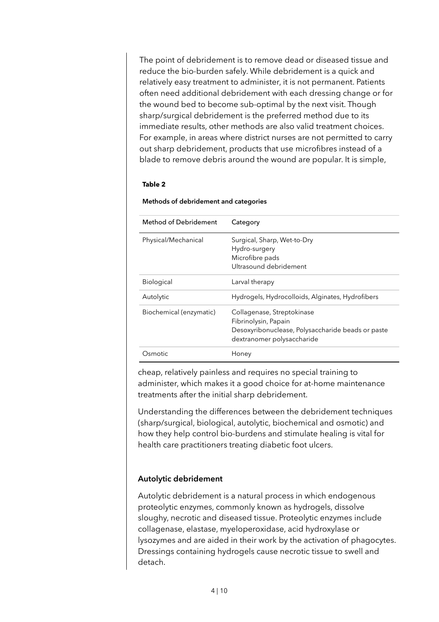The point of debridement is to remove dead or diseased tissue and reduce the bio-burden safely. While debridement is a quick and relatively easy treatment to administer, it is not permanent. Patients often need additional debridement with each dressing change or for the wound bed to become sub-optimal by the next visit. Though sharp/surgical debridement is the preferred method due to its immediate results, other methods are also valid treatment choices. For example, in areas where district nurses are not permitted to carry out sharp debridement, products that use microfibres instead of a blade to remove debris around the wound are popular. It is simple,

#### **Table 2**

| <b>Method of Debridement</b> | Category                                                                                                                              |  |
|------------------------------|---------------------------------------------------------------------------------------------------------------------------------------|--|
| Physical/Mechanical          | Surgical, Sharp, Wet-to-Dry<br>Hydro-surgery<br>Microfibre pads<br>Ultrasound debridement                                             |  |
| <b>Biological</b>            | Larval therapy                                                                                                                        |  |
| Autolytic                    | Hydrogels, Hydrocolloids, Alginates, Hydrofibers                                                                                      |  |
| Biochemical (enzymatic)      | Collagenase, Streptokinase<br>Fibrinolysin, Papain<br>Desoxyribonuclease, Polysaccharide beads or paste<br>dextranomer polysaccharide |  |
| Osmotic                      | Honey                                                                                                                                 |  |

#### **Methods of debridement and categories**

cheap, relatively painless and requires no special training to administer, which makes it a good choice for at-home maintenance treatments after the initial sharp debridement.

Understanding the differences between the debridement techniques (sharp/surgical, biological, autolytic, biochemical and osmotic) and how they help control bio-burdens and stimulate healing is vital for health care practitioners treating diabetic foot ulcers.

### **Autolytic debridement**

Autolytic debridement is a natural process in which endogenous proteolytic enzymes, commonly known as hydrogels, dissolve sloughy, necrotic and diseased tissue. Proteolytic enzymes include collagenase, elastase, myeloperoxidase, acid hydroxylase or lysozymes and are aided in their work by the activation of phagocytes. Dressings containing hydrogels cause necrotic tissue to swell and detach.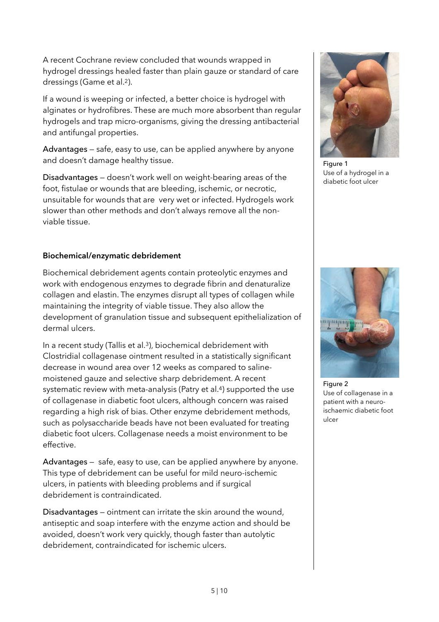A recent Cochrane review concluded that wounds wrapped in hydrogel dressings healed faster than plain gauze or standard of care dressings (Game et al.2).

If a wound is weeping or infected, a better choice is hydrogel with alginates or hydrofibres. These are much more absorbent than regular hydrogels and trap micro-organisms, giving the dressing antibacterial and antifungal properties.

Advantages — safe, easy to use, can be applied anywhere by anyone and doesn't damage healthy tissue.

Disadvantages — doesn't work well on weight-bearing areas of the foot, fistulae or wounds that are bleeding, ischemic, or necrotic, unsuitable for wounds that are very wet or infected. Hydrogels work slower than other methods and don't always remove all the nonviable tissue.

# **Biochemical/enzymatic debridement**

Biochemical debridement agents contain proteolytic enzymes and work with endogenous enzymes to degrade fibrin and denaturalize collagen and elastin. The enzymes disrupt all types of collagen while maintaining the integrity of viable tissue. They also allow the development of granulation tissue and subsequent epithelialization of dermal ulcers.

In a recent study (Tallis et al.3), biochemical debridement with Clostridial collagenase ointment resulted in a statistically significant decrease in wound area over 12 weeks as compared to salinemoistened gauze and selective sharp debridement. A recent systematic review with meta-analysis (Patry et al.<sup>4</sup>) supported the use of collagenase in diabetic foot ulcers, although concern was raised regarding a high risk of bias. Other enzyme debridement methods, such as polysaccharide beads have not been evaluated for treating diabetic foot ulcers. Collagenase needs a moist environment to be effective.

Advantages — safe, easy to use, can be applied anywhere by anyone. This type of debridement can be useful for mild neuro-ischemic ulcers, in patients with bleeding problems and if surgical debridement is contraindicated.

Disadvantages – ointment can irritate the skin around the wound, antiseptic and soap interfere with the enzyme action and should be avoided, doesn't work very quickly, though faster than autolytic debridement, contraindicated for ischemic ulcers.



Figure 1 Use of a hydrogel in a diabetic foot ulcer



Figure 2 Use of collagenase in a patient with a neuroischaemic diabetic foot ulcer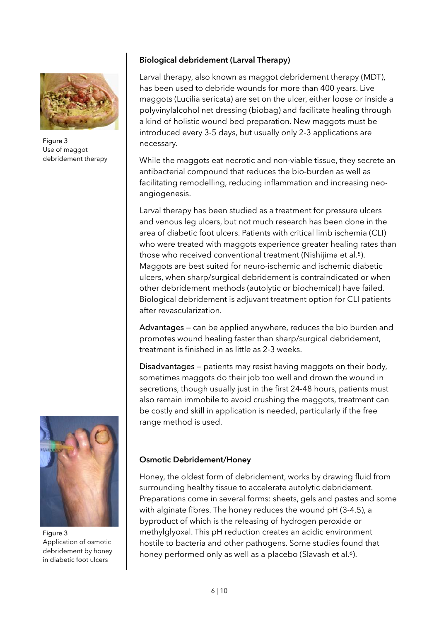

Figure 3 Use of maggot debridement therapy

# **Biological debridement (Larval Therapy)**

Larval therapy, also known as maggot debridement therapy (MDT), has been used to debride wounds for more than 400 years. Live maggots (Lucilia sericata) are set on the ulcer, either loose or inside a polyvinylalcohol net dressing (biobag) and facilitate healing through a kind of holistic wound bed preparation. New maggots must be introduced every 3-5 days, but usually only 2-3 applications are necessary.

While the maggots eat necrotic and non-viable tissue, they secrete an antibacterial compound that reduces the bio-burden as well as facilitating remodelling, reducing inflammation and increasing neoangiogenesis.

Larval therapy has been studied as a treatment for pressure ulcers and venous leg ulcers, but not much research has been done in the area of diabetic foot ulcers. Patients with critical limb ischemia (CLI) who were treated with maggots experience greater healing rates than those who received conventional treatment (Nishijima et al.5). Maggots are best suited for neuro-ischemic and ischemic diabetic ulcers, when sharp/surgical debridement is contraindicated or when other debridement methods (autolytic or biochemical) have failed. Biological debridement is adjuvant treatment option for CLI patients after revascularization.

Advantages — can be applied anywhere, reduces the bio burden and promotes wound healing faster than sharp/surgical debridement, treatment is finished in as little as 2-3 weeks.

Disadvantages — patients may resist having maggots on their body, sometimes maggots do their job too well and drown the wound in secretions, though usually just in the first 24-48 hours, patients must also remain immobile to avoid crushing the maggots, treatment can be costly and skill in application is needed, particularly if the free range method is used.



Figure 3 Application of osmotic debridement by honey in diabetic foot ulcers

### **Osmotic Debridement/Honey**

Honey, the oldest form of debridement, works by drawing fluid from surrounding healthy tissue to accelerate autolytic debridement. Preparations come in several forms: sheets, gels and pastes and some with alginate fibres. The honey reduces the wound pH (3-4.5), a byproduct of which is the releasing of hydrogen peroxide or methylglyoxal. This pH reduction creates an acidic environment hostile to bacteria and other pathogens. Some studies found that honey performed only as well as a placebo (Slavash et al.<sup>6</sup>).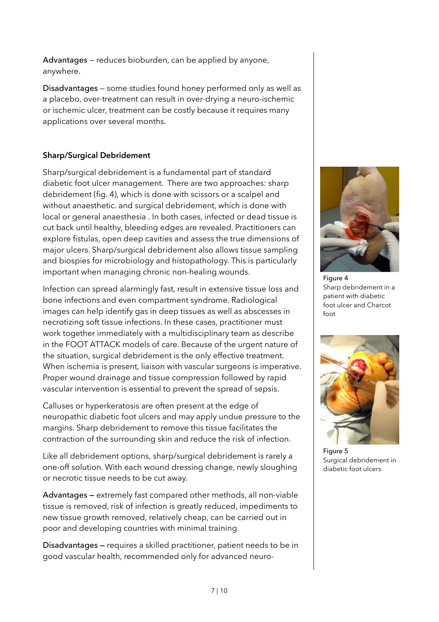Advantages — reduces bioburden, can be applied by anyone, anywhere.

Disadvantages — some studies found honey performed only as well as a placebo, over-treatment can result in over-drying a neuro-ischemic or ischemic ulcer, treatment can be costly because it requires many applications over several months.

# **Sharp/Surgical Debridement**

Sharp/surgical debridement is a fundamental part of standard diabetic foot ulcer management. There are two approaches: sharp debridement (fig. 4), which is done with scissors or a scalpel and without anaesthetic. and surgical debridement, which is done with local or general anaesthesia . In both cases, infected or dead tissue is cut back until healthy, bleeding edges are revealed. Practitioners can explore fistulas, open deep cavities and assess the true dimensions of major ulcers. Sharp/surgical debridement also allows tissue sampling and biospies for microbiology and histopathology. This is particularly important when managing chronic non-healing wounds.

Infection can spread alarmingly fast, result in extensive tissue loss and bone infections and even compartment syndrome. Radiological images can help identify gas in deep tissues as well as abscesses in necrotizing soft tissue infections. In these cases, practitioner must work together immediately with a multidisciplinary team as describe in the FOOT ATTACK models of care. Because of the urgent nature of the situation, surgical debridement is the only effective treatment. When ischemia is present, liaison with vascular surgeons is imperative. Proper wound drainage and tissue compression followed by rapid vascular intervention is essential to prevent the spread of sepsis.

Calluses or hyperkeratosis are often present at the edge of neuropathic diabetic foot ulcers and may apply undue pressure to the margins. Sharp debridement to remove this tissue facilitates the contraction of the surrounding skin and reduce the risk of infection.

Like all debridement options, sharp/surgical debridement is rarely a one-off solution. With each wound dressing change, newly sloughing or necrotic tissue needs to be cut away.

Advantages **—** extremely fast compared other methods, all non-viable tissue is removed, risk of infection is greatly reduced, impediments to new tissue growth removed, relatively cheap, can be carried out in poor and developing countries with minimal training.

Disadvantages **—** requires a skilled practitioner, patient needs to be in good vascular health, recommended only for advanced neuro-



Figure 4 Sharp debridement in a patient with diabetic foot ulcer and Charcot foot



Figure 5 Surgical debridement in diabetic foot ulcers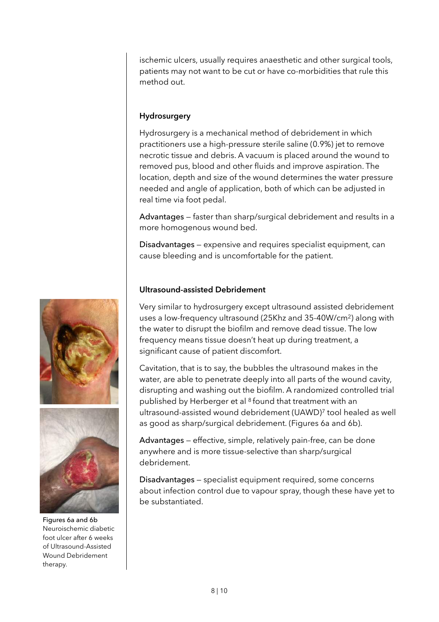ischemic ulcers, usually requires anaesthetic and other surgical tools, patients may not want to be cut or have co-morbidities that rule this method out.

# **Hydrosurgery**

Hydrosurgery is a mechanical method of debridement in which practitioners use a high-pressure sterile saline (0.9%) jet to remove necrotic tissue and debris. A vacuum is placed around the wound to removed pus, blood and other fluids and improve aspiration. The location, depth and size of the wound determines the water pressure needed and angle of application, both of which can be adjusted in real time via foot pedal.

Advantages — faster than sharp/surgical debridement and results in a more homogenous wound bed.

Disadvantages — expensive and requires specialist equipment, can cause bleeding and is uncomfortable for the patient.

# **Ultrasound-assisted Debridement**

Very similar to hydrosurgery except ultrasound assisted debridement uses a low-frequency ultrasound (25Khz and 35-40W/cm2) along with the water to disrupt the biofilm and remove dead tissue. The low frequency means tissue doesn't heat up during treatment, a significant cause of patient discomfort.

Cavitation, that is to say, the bubbles the ultrasound makes in the water, are able to penetrate deeply into all parts of the wound cavity, disrupting and washing out the biofilm. A randomized controlled trial published by Herberger et al 8 found that treatment with an ultrasound-assisted wound debridement (UAWD)7 tool healed as well as good as sharp/surgical debridement. (Figures 6a and 6b).

Advantages — effective, simple, relatively pain-free, can be done anywhere and is more tissue-selective than sharp/surgical debridement.

Disadvantages — specialist equipment required, some concerns about infection control due to vapour spray, though these have yet to be substantiated.



Figures 6a and 6b Neuroischemic diabetic foot ulcer after 6 weeks of Ultrasound-Assisted Wound Debridement therapy.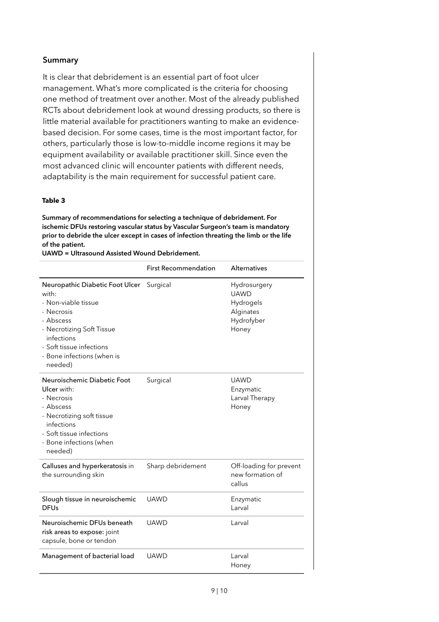# **Summary**

It is clear that debridement is an essential part of foot ulcer management. What's more complicated is the criteria for choosing one method of treatment over another. Most of the already published RCTs about debridement look at wound dressing products, so there is little material available for practitioners wanting to make an evidencebased decision. For some cases, time is the most important factor, for others, particularly those is low-to-middle income regions it may be equipment availability or available practitioner skill. Since even the most advanced clinic will encounter patients with different needs, adaptability is the main requirement for successful patient care.

#### **Table 3**

**Summary of recommendations for selecting a technique of debridement. For ischemic DFUs restoring vascular status by Vascular Surgeon's team is mandatory prior to debride the ulcer except in cases of infection threating the limb or the life of the patient.** 

**UAWD = Ultrasound Assisted Wound Debridement.**

|                                                                                                                                                                                                            | <b>First Recommendation</b> | <b>Alternatives</b>                                                          |
|------------------------------------------------------------------------------------------------------------------------------------------------------------------------------------------------------------|-----------------------------|------------------------------------------------------------------------------|
| Neuropathic Diabetic Foot Ulcer<br>with:<br>- Non-viable tissue<br>- Necrosis<br>- Abscess<br>- Necrotizing Soft Tissue<br>infections<br>- Soft tissue infections<br>- Bone infections (when is<br>needed) | Surgical                    | Hydrosurgery<br><b>UAWD</b><br>Hydrogels<br>Alginates<br>Hydrofyber<br>Honey |
| Neuroischemic Diabetic Foot<br>Ulcer with:<br>- Necrosis<br>- Abscess<br>- Necrotizing soft tissue<br>infections<br>- Soft tissue infections<br>- Bone infections (when<br>needed)                         | Surgical                    | <b>UAWD</b><br>Enzymatic<br>Larval Therapy<br>Honey                          |
| Calluses and hyperkeratosis in<br>the surrounding skin                                                                                                                                                     | Sharp debridement           | Off-loading for prevent<br>new formation of<br>callus                        |
| Slough tissue in neuroischemic<br><b>DFUs</b>                                                                                                                                                              | <b>UAWD</b>                 | Enzymatic<br>Larval                                                          |
| Neuroischemic DFUs beneath<br>risk areas to expose: joint<br>capsule, bone or tendon                                                                                                                       | <b>UAWD</b>                 | Larval                                                                       |
| Management of bacterial load                                                                                                                                                                               | UAWD                        | Larval<br>Honey                                                              |